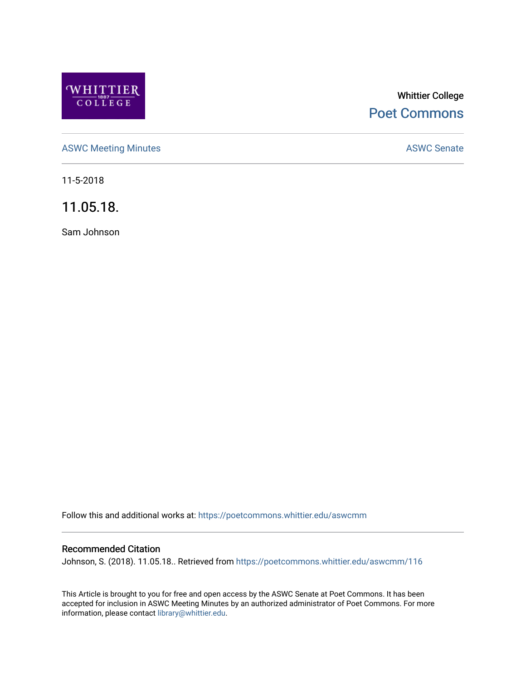

# Whittier College [Poet Commons](https://poetcommons.whittier.edu/)

[ASWC Meeting Minutes](https://poetcommons.whittier.edu/aswcmm) **ASWC Senate** 

11-5-2018

11.05.18.

Sam Johnson

Follow this and additional works at: [https://poetcommons.whittier.edu/aswcmm](https://poetcommons.whittier.edu/aswcmm?utm_source=poetcommons.whittier.edu%2Faswcmm%2F116&utm_medium=PDF&utm_campaign=PDFCoverPages)

#### Recommended Citation

Johnson, S. (2018). 11.05.18.. Retrieved from [https://poetcommons.whittier.edu/aswcmm/116](https://poetcommons.whittier.edu/aswcmm/116?utm_source=poetcommons.whittier.edu%2Faswcmm%2F116&utm_medium=PDF&utm_campaign=PDFCoverPages)

This Article is brought to you for free and open access by the ASWC Senate at Poet Commons. It has been accepted for inclusion in ASWC Meeting Minutes by an authorized administrator of Poet Commons. For more information, please contact [library@whittier.edu.](mailto:library@whittier.edu)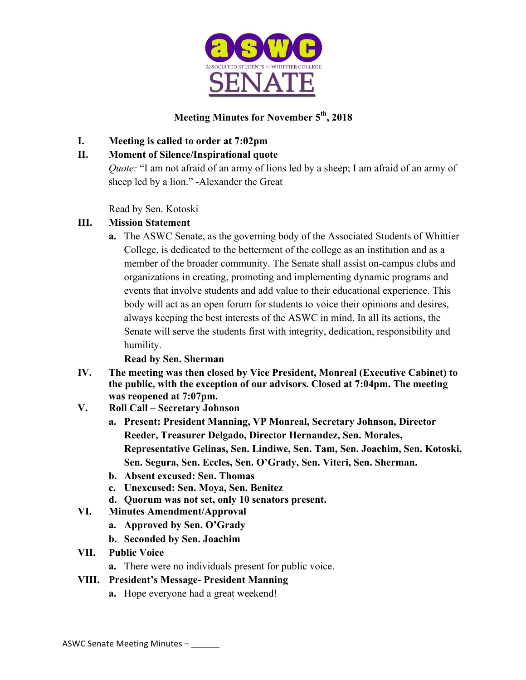

# **Meeting Minutes for November 5th, 2018**

# **I. Meeting is called to order at 7:02pm**

# **II. Moment of Silence/Inspirational quote**

*Quote:* "I am not afraid of an army of lions led by a sheep; I am afraid of an army of sheep led by a lion." -Alexander the Great

Read by Sen. Kotoski

# **III. Mission Statement**

**a.** The ASWC Senate, as the governing body of the Associated Students of Whittier College, is dedicated to the betterment of the college as an institution and as a member of the broader community. The Senate shall assist on-campus clubs and organizations in creating, promoting and implementing dynamic programs and events that involve students and add value to their educational experience. This body will act as an open forum for students to voice their opinions and desires, always keeping the best interests of the ASWC in mind. In all its actions, the Senate will serve the students first with integrity, dedication, responsibility and humility.

**Read by Sen. Sherman**

- **IV. The meeting was then closed by Vice President, Monreal (Executive Cabinet) to the public, with the exception of our advisors. Closed at 7:04pm. The meeting was reopened at 7:07pm.**
- **V. Roll Call – Secretary Johnson**
	- **a. Present: President Manning, VP Monreal, Secretary Johnson, Director Reeder, Treasurer Delgado, Director Hernandez, Sen. Morales, Representative Gelinas, Sen. Lindiwe, Sen. Tam, Sen. Joachim, Sen. Kotoski, Sen. Segura, Sen. Eccles, Sen. O'Grady, Sen. Viteri, Sen. Sherman.**
	- **b. Absent excused: Sen. Thomas**
	- **c. Unexcused: Sen. Moya, Sen. Benitez**
	- **d. Quorum was not set, only 10 senators present.**
- **VI. Minutes Amendment/Approval**
	- **a. Approved by Sen. O'Grady**
	- **b. Seconded by Sen. Joachim**
- **VII. Public Voice**
	- **a.** There were no individuals present for public voice.

# **VIII. President's Message- President Manning**

**a.** Hope everyone had a great weekend!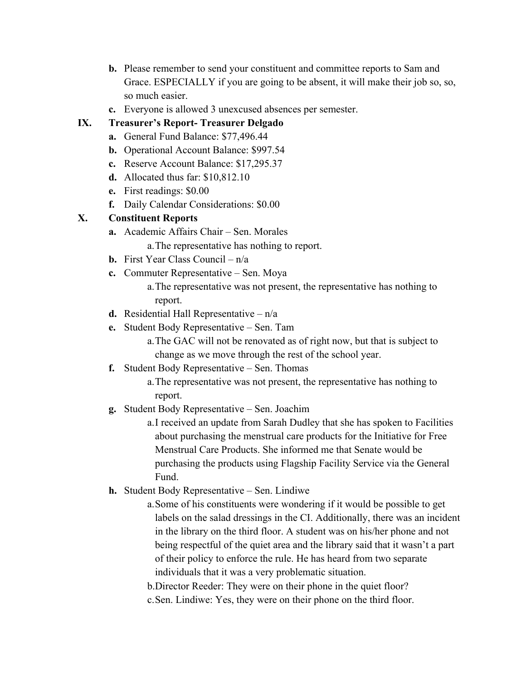- **b.** Please remember to send your constituent and committee reports to Sam and Grace. ESPECIALLY if you are going to be absent, it will make their job so, so, so much easier.
- **c.** Everyone is allowed 3 unexcused absences per semester.

### **IX. Treasurer's Report- Treasurer Delgado**

- **a.** General Fund Balance: \$77,496.44
- **b.** Operational Account Balance: \$997.54
- **c.** Reserve Account Balance: \$17,295.37
- **d.** Allocated thus far: \$10,812.10
- **e.** First readings: \$0.00
- **f.** Daily Calendar Considerations: \$0.00

# **X. Constituent Reports**

**a.** Academic Affairs Chair – Sen. Morales

a.The representative has nothing to report.

- **b.** First Year Class Council n/a
- **c.** Commuter Representative Sen. Moya

a.The representative was not present, the representative has nothing to report.

- **d.** Residential Hall Representative n/a
- **e.** Student Body Representative Sen. Tam

a.The GAC will not be renovated as of right now, but that is subject to change as we move through the rest of the school year.

- **f.** Student Body Representative Sen. Thomas
	- a.The representative was not present, the representative has nothing to report.
- **g.** Student Body Representative Sen. Joachim

a.I received an update from Sarah Dudley that she has spoken to Facilities about purchasing the menstrual care products for the Initiative for Free Menstrual Care Products. She informed me that Senate would be purchasing the products using Flagship Facility Service via the General Fund.

- **h.** Student Body Representative Sen. Lindiwe
	- a.Some of his constituents were wondering if it would be possible to get labels on the salad dressings in the CI. Additionally, there was an incident in the library on the third floor. A student was on his/her phone and not being respectful of the quiet area and the library said that it wasn't a part of their policy to enforce the rule. He has heard from two separate individuals that it was a very problematic situation.

b.Director Reeder: They were on their phone in the quiet floor?

c.Sen. Lindiwe: Yes, they were on their phone on the third floor.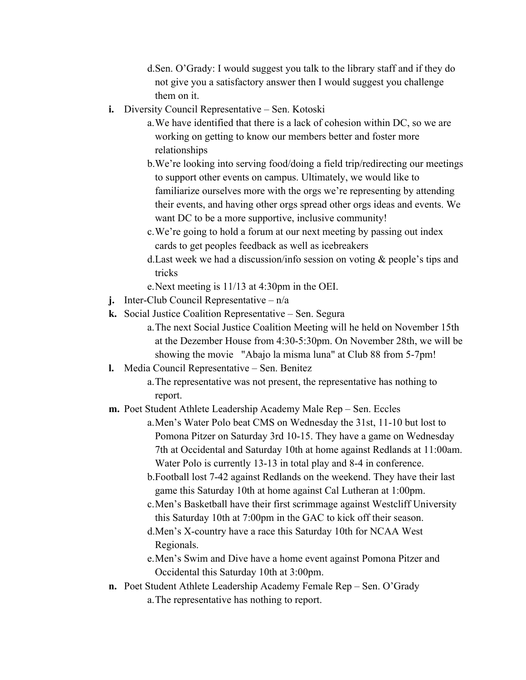d.Sen. O'Grady: I would suggest you talk to the library staff and if they do not give you a satisfactory answer then I would suggest you challenge them on it.

- **i.** Diversity Council Representative Sen. Kotoski
	- a.We have identified that there is a lack of cohesion within DC, so we are working on getting to know our members better and foster more relationships
	- b.We're looking into serving food/doing a field trip/redirecting our meetings to support other events on campus. Ultimately, we would like to familiarize ourselves more with the orgs we're representing by attending their events, and having other orgs spread other orgs ideas and events. We want DC to be a more supportive, inclusive community!
	- c.We're going to hold a forum at our next meeting by passing out index cards to get peoples feedback as well as icebreakers
	- d.Last week we had a discussion/info session on voting & people's tips and tricks
	- e.Next meeting is 11/13 at 4:30pm in the OEI.
- **j.** Inter-Club Council Representative n/a
- **k.** Social Justice Coalition Representative Sen. Segura
	- a.The next Social Justice Coalition Meeting will he held on November 15th at the Dezember House from 4:30-5:30pm. On November 28th, we will be showing the movie "Abajo la misma luna" at Club 88 from 5-7pm!
- **l.** Media Council Representative Sen. Benitez
	- a.The representative was not present, the representative has nothing to report.
- **m.** Poet Student Athlete Leadership Academy Male Rep Sen. Eccles
	- a.Men's Water Polo beat CMS on Wednesday the 31st, 11-10 but lost to Pomona Pitzer on Saturday 3rd 10-15. They have a game on Wednesday 7th at Occidental and Saturday 10th at home against Redlands at 11:00am. Water Polo is currently 13-13 in total play and 8-4 in conference.
	- b.Football lost 7-42 against Redlands on the weekend. They have their last game this Saturday 10th at home against Cal Lutheran at 1:00pm.
	- c.Men's Basketball have their first scrimmage against Westcliff University this Saturday 10th at 7:00pm in the GAC to kick off their season.
	- d.Men's X-country have a race this Saturday 10th for NCAA West Regionals.
	- e.Men's Swim and Dive have a home event against Pomona Pitzer and Occidental this Saturday 10th at 3:00pm.
- **n.** Poet Student Athlete Leadership Academy Female Rep Sen. O'Grady a.The representative has nothing to report.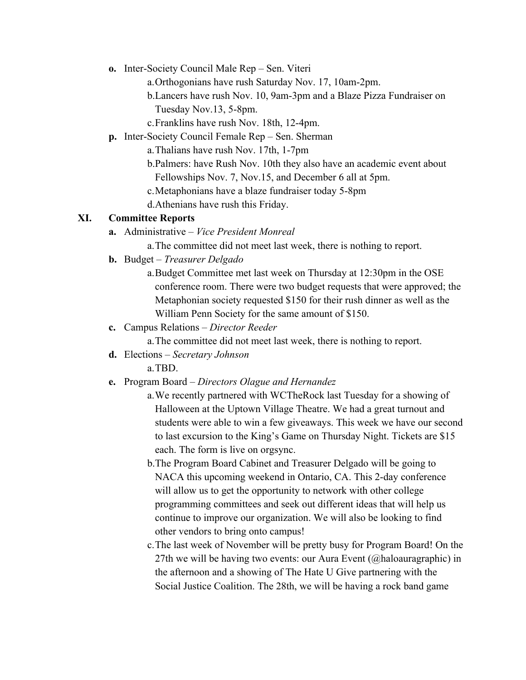- **o.** Inter-Society Council Male Rep Sen. Viteri
	- a.Orthogonians have rush Saturday Nov. 17, 10am-2pm.
	- b.Lancers have rush Nov. 10, 9am-3pm and a Blaze Pizza Fundraiser on Tuesday Nov.13, 5-8pm.
	- c.Franklins have rush Nov. 18th, 12-4pm.
- **p.** Inter-Society Council Female Rep Sen. Sherman
	- a.Thalians have rush Nov. 17th, 1-7pm
	- b.Palmers: have Rush Nov. 10th they also have an academic event about
	- Fellowships Nov. 7, Nov.15, and December 6 all at 5pm.
	- c.Metaphonians have a blaze fundraiser today 5-8pm
	- d.Athenians have rush this Friday.

#### **XI. Committee Reports**

- **a.** Administrative *Vice President Monreal*
	- a.The committee did not meet last week, there is nothing to report.
- **b.** Budget *Treasurer Delgado*
	- a.Budget Committee met last week on Thursday at 12:30pm in the OSE conference room. There were two budget requests that were approved; the Metaphonian society requested \$150 for their rush dinner as well as the William Penn Society for the same amount of \$150.
- **c.** Campus Relations *Director Reeder*
	- a.The committee did not meet last week, there is nothing to report.
- **d.** Elections *Secretary Johnson*

a.TBD.

- **e.** Program Board *Directors Olague and Hernandez* 
	- a.We recently partnered with WCTheRock last Tuesday for a showing of Halloween at the Uptown Village Theatre. We had a great turnout and students were able to win a few giveaways. This week we have our second to last excursion to the King's Game on Thursday Night. Tickets are \$15 each. The form is live on orgsync.
	- b.The Program Board Cabinet and Treasurer Delgado will be going to NACA this upcoming weekend in Ontario, CA. This 2-day conference will allow us to get the opportunity to network with other college programming committees and seek out different ideas that will help us continue to improve our organization. We will also be looking to find other vendors to bring onto campus!
	- c.The last week of November will be pretty busy for Program Board! On the 27th we will be having two events: our Aura Event (@haloauragraphic) in the afternoon and a showing of The Hate U Give partnering with the Social Justice Coalition. The 28th, we will be having a rock band game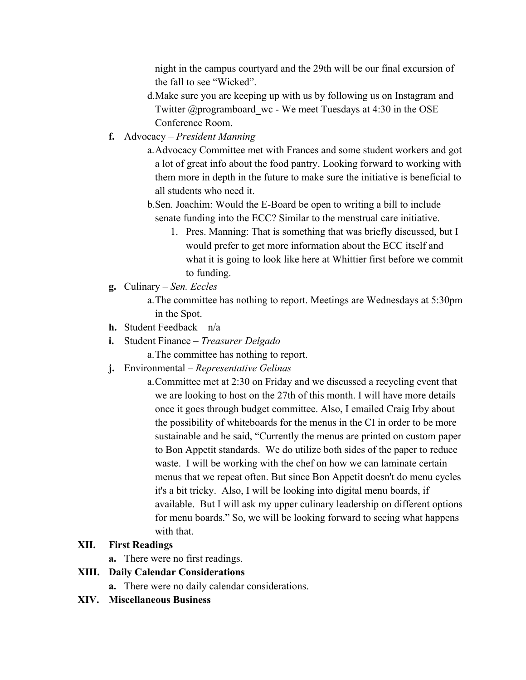night in the campus courtyard and the 29th will be our final excursion of the fall to see "Wicked".

- d.Make sure you are keeping up with us by following us on Instagram and Twitter @programboard\_wc - We meet Tuesdays at 4:30 in the OSE Conference Room.
- **f.** Advocacy *President Manning* 
	- a.Advocacy Committee met with Frances and some student workers and got a lot of great info about the food pantry. Looking forward to working with them more in depth in the future to make sure the initiative is beneficial to all students who need it.
	- b.Sen. Joachim: Would the E-Board be open to writing a bill to include senate funding into the ECC? Similar to the menstrual care initiative.
		- 1. Pres. Manning: That is something that was briefly discussed, but I would prefer to get more information about the ECC itself and what it is going to look like here at Whittier first before we commit to funding.
- **g.** Culinary *Sen. Eccles* 
	- a.The committee has nothing to report. Meetings are Wednesdays at 5:30pm in the Spot.
- **h.** Student Feedback n/a
- **i.** Student Finance *Treasurer Delgado*

a.The committee has nothing to report.

- **j.** Environmental *Representative Gelinas*
	- a.Committee met at 2:30 on Friday and we discussed a recycling event that we are looking to host on the 27th of this month. I will have more details once it goes through budget committee. Also, I emailed Craig Irby about the possibility of whiteboards for the menus in the CI in order to be more sustainable and he said, "Currently the menus are printed on custom paper to Bon Appetit standards. We do utilize both sides of the paper to reduce waste. I will be working with the chef on how we can laminate certain menus that we repeat often. But since Bon Appetit doesn't do menu cycles it's a bit tricky. Also, I will be looking into digital menu boards, if available. But I will ask my upper culinary leadership on different options for menu boards." So, we will be looking forward to seeing what happens with that.

#### **XII. First Readings**

**a.** There were no first readings.

#### **XIII. Daily Calendar Considerations**

- **a.** There were no daily calendar considerations.
- **XIV. Miscellaneous Business**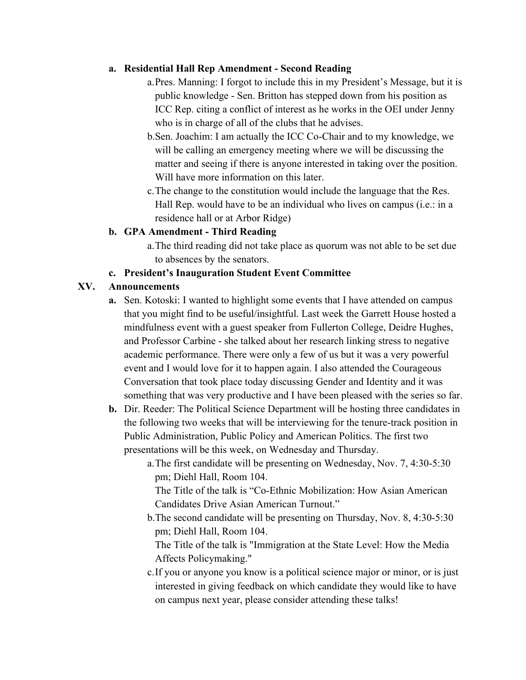### **a. Residential Hall Rep Amendment - Second Reading**

- a.Pres. Manning: I forgot to include this in my President's Message, but it is public knowledge - Sen. Britton has stepped down from his position as ICC Rep. citing a conflict of interest as he works in the OEI under Jenny who is in charge of all of the clubs that he advises.
- b.Sen. Joachim: I am actually the ICC Co-Chair and to my knowledge, we will be calling an emergency meeting where we will be discussing the matter and seeing if there is anyone interested in taking over the position. Will have more information on this later.
- c.The change to the constitution would include the language that the Res. Hall Rep. would have to be an individual who lives on campus (i.e.: in a residence hall or at Arbor Ridge)

# **b. GPA Amendment - Third Reading**

a.The third reading did not take place as quorum was not able to be set due to absences by the senators.

# **c. President's Inauguration Student Event Committee**

### **XV. Announcements**

- **a.** Sen. Kotoski: I wanted to highlight some events that I have attended on campus that you might find to be useful/insightful. Last week the Garrett House hosted a mindfulness event with a guest speaker from Fullerton College, Deidre Hughes, and Professor Carbine - she talked about her research linking stress to negative academic performance. There were only a few of us but it was a very powerful event and I would love for it to happen again. I also attended the Courageous Conversation that took place today discussing Gender and Identity and it was something that was very productive and I have been pleased with the series so far.
- **b.** Dir. Reeder: The Political Science Department will be hosting three candidates in the following two weeks that will be interviewing for the tenure-track position in Public Administration, Public Policy and American Politics. The first two presentations will be this week, on Wednesday and Thursday.
	- a.The first candidate will be presenting on Wednesday, Nov. 7, 4:30-5:30 pm; Diehl Hall, Room 104.

The Title of the talk is "Co-Ethnic Mobilization: How Asian American Candidates Drive Asian American Turnout."

b.The second candidate will be presenting on Thursday, Nov. 8, 4:30-5:30 pm; Diehl Hall, Room 104.

The Title of the talk is "Immigration at the State Level: How the Media Affects Policymaking."

c.If you or anyone you know is a political science major or minor, or is just interested in giving feedback on which candidate they would like to have on campus next year, please consider attending these talks!